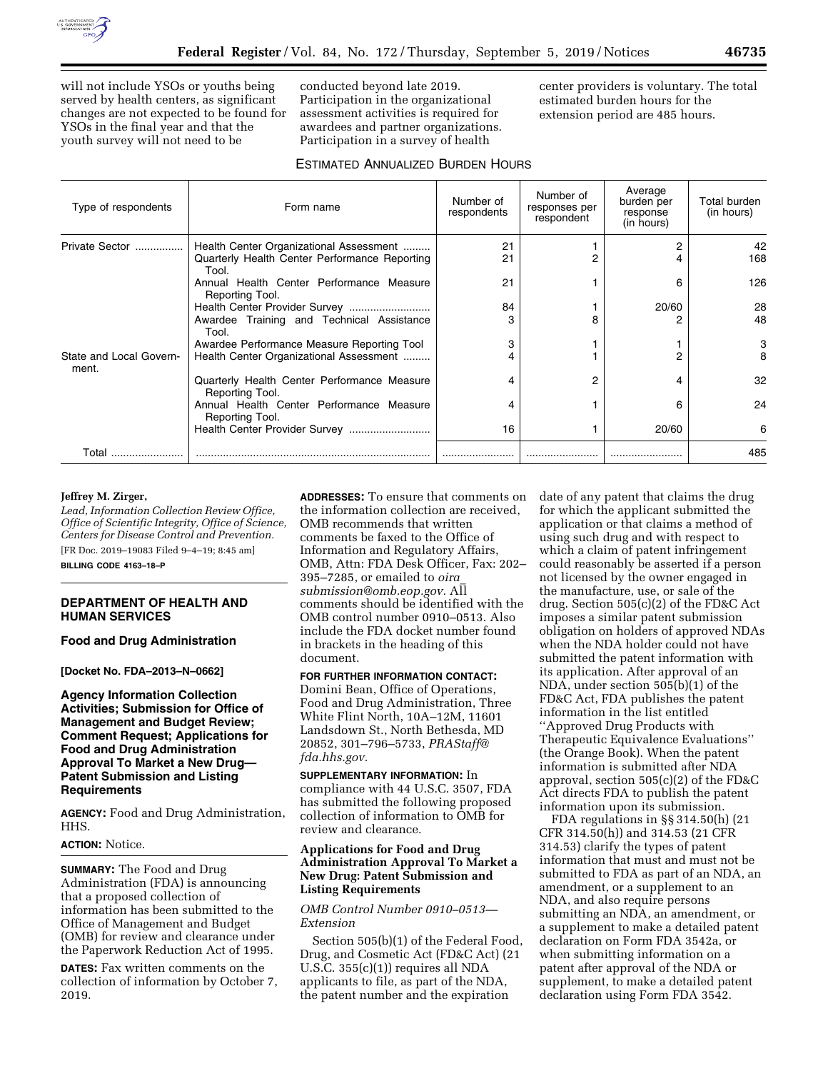

will not include YSOs or youths being served by health centers, as significant changes are not expected to be found for YSOs in the final year and that the youth survey will not need to be

conducted beyond late 2019. Participation in the organizational assessment activities is required for awardees and partner organizations. Participation in a survey of health

center providers is voluntary. The total estimated burden hours for the extension period are 485 hours.

# ESTIMATED ANNUALIZED BURDEN HOURS

| Type of respondents              | Form name                                                      | Number of<br>respondents | Number of<br>responses per<br>respondent | Average<br>burden per<br>response<br>(in hours) | Total burden<br>(in hours) |
|----------------------------------|----------------------------------------------------------------|--------------------------|------------------------------------------|-------------------------------------------------|----------------------------|
| Private Sector                   | Health Center Organizational Assessment                        | 21                       |                                          |                                                 | 42                         |
|                                  | Quarterly Health Center Performance Reporting<br>Tool.         | 21                       | 2                                        |                                                 | 168                        |
|                                  | Annual Health Center Performance Measure<br>Reporting Tool.    | 21                       |                                          | 6                                               | 126                        |
|                                  | Health Center Provider Survey                                  | 84                       |                                          | 20/60                                           | 28                         |
|                                  | Awardee Training and Technical Assistance<br>Tool.             |                          | 8                                        |                                                 | 48                         |
|                                  | Awardee Performance Measure Reporting Tool                     |                          |                                          |                                                 | 3                          |
| State and Local Govern-<br>ment. | Health Center Organizational Assessment                        |                          |                                          |                                                 | 8                          |
|                                  | Quarterly Health Center Performance Measure<br>Reporting Tool. |                          | 2                                        |                                                 | 32                         |
|                                  | Annual Health Center Performance Measure<br>Reporting Tool.    | 4                        |                                          | ิค                                              | 24                         |
|                                  |                                                                | 16                       |                                          | 20/60                                           | 6                          |
| Total                            |                                                                |                          |                                          |                                                 | 485                        |

# **Jeffrey M. Zirger,**

*Lead, Information Collection Review Office, Office of Scientific Integrity, Office of Science, Centers for Disease Control and Prevention.*  [FR Doc. 2019–19083 Filed 9–4–19; 8:45 am]

**BILLING CODE 4163–18–P** 

## **DEPARTMENT OF HEALTH AND HUMAN SERVICES**

**Food and Drug Administration** 

**[Docket No. FDA–2013–N–0662]** 

## **Agency Information Collection Activities; Submission for Office of Management and Budget Review; Comment Request; Applications for Food and Drug Administration Approval To Market a New Drug— Patent Submission and Listing Requirements**

**AGENCY:** Food and Drug Administration, HHS.

## **ACTION:** Notice.

**SUMMARY:** The Food and Drug Administration (FDA) is announcing that a proposed collection of information has been submitted to the Office of Management and Budget (OMB) for review and clearance under the Paperwork Reduction Act of 1995.

**DATES:** Fax written comments on the collection of information by October 7, 2019.

**ADDRESSES:** To ensure that comments on the information collection are received, OMB recommends that written comments be faxed to the Office of Information and Regulatory Affairs, OMB, Attn: FDA Desk Officer, Fax: 202– 395–7285, or emailed to *[oira](mailto:oira_submission@omb.eop.gov)*\_ *[submission@omb.eop.gov.](mailto:oira_submission@omb.eop.gov)* All comments should be identified with the OMB control number 0910–0513. Also include the FDA docket number found in brackets in the heading of this document.

# **FOR FURTHER INFORMATION CONTACT:**

Domini Bean, Office of Operations, Food and Drug Administration, Three White Flint North, 10A–12M, 11601 Landsdown St., North Bethesda, MD 20852, 301–796–5733, *[PRAStaff@](mailto:PRAStaff@fda.hhs.gov) [fda.hhs.gov.](mailto:PRAStaff@fda.hhs.gov)* 

**SUPPLEMENTARY INFORMATION:** In compliance with 44 U.S.C. 3507, FDA has submitted the following proposed collection of information to OMB for review and clearance.

## **Applications for Food and Drug Administration Approval To Market a New Drug: Patent Submission and Listing Requirements**

### *OMB Control Number 0910–0513— Extension*

Section 505(b)(1) of the Federal Food, Drug, and Cosmetic Act (FD&C Act) (21 U.S.C. 355(c)(1)) requires all NDA applicants to file, as part of the NDA, the patent number and the expiration

date of any patent that claims the drug for which the applicant submitted the application or that claims a method of using such drug and with respect to which a claim of patent infringement could reasonably be asserted if a person not licensed by the owner engaged in the manufacture, use, or sale of the drug. Section 505(c)(2) of the FD&C Act imposes a similar patent submission obligation on holders of approved NDAs when the NDA holder could not have submitted the patent information with its application. After approval of an NDA, under section 505(b)(1) of the FD&C Act, FDA publishes the patent information in the list entitled ''Approved Drug Products with Therapeutic Equivalence Evaluations'' (the Orange Book). When the patent information is submitted after NDA approval, section 505(c)(2) of the FD&C Act directs FDA to publish the patent information upon its submission.

FDA regulations in §§ 314.50(h) (21 CFR 314.50(h)) and 314.53 (21 CFR 314.53) clarify the types of patent information that must and must not be submitted to FDA as part of an NDA, an amendment, or a supplement to an NDA, and also require persons submitting an NDA, an amendment, or a supplement to make a detailed patent declaration on Form FDA 3542a, or when submitting information on a patent after approval of the NDA or supplement, to make a detailed patent declaration using Form FDA 3542.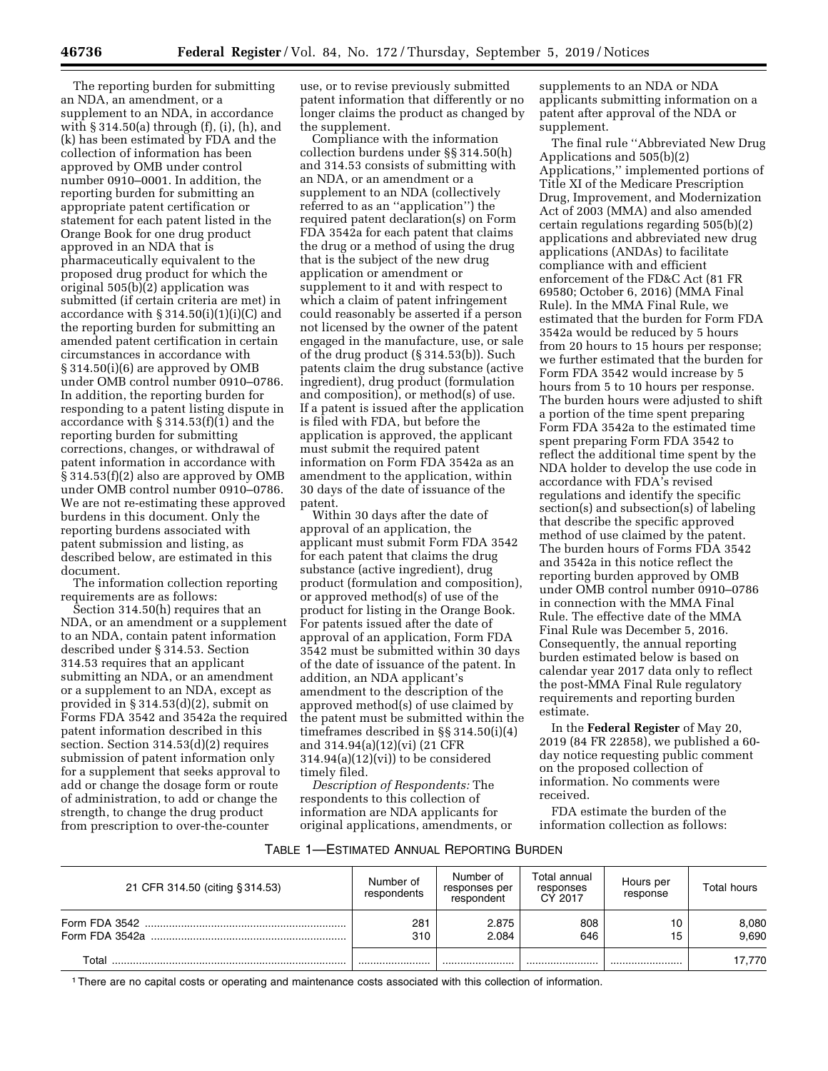The reporting burden for submitting an NDA, an amendment, or a supplement to an NDA, in accordance with  $\S 314.50(a)$  through (f), (i), (h), and (k) has been estimated by FDA and the collection of information has been approved by OMB under control number 0910–0001. In addition, the reporting burden for submitting an appropriate patent certification or statement for each patent listed in the Orange Book for one drug product approved in an NDA that is pharmaceutically equivalent to the proposed drug product for which the original 505(b)(2) application was submitted (if certain criteria are met) in accordance with  $\S 314.50(i)(1)(i)(C)$  and the reporting burden for submitting an amended patent certification in certain circumstances in accordance with § 314.50(i)(6) are approved by OMB under OMB control number 0910–0786. In addition, the reporting burden for responding to a patent listing dispute in accordance with § 314.53(f)(1) and the reporting burden for submitting corrections, changes, or withdrawal of patent information in accordance with § 314.53(f)(2) also are approved by OMB under OMB control number 0910–0786. We are not re-estimating these approved burdens in this document. Only the reporting burdens associated with patent submission and listing, as described below, are estimated in this document.

The information collection reporting requirements are as follows:

Section 314.50(h) requires that an NDA, or an amendment or a supplement to an NDA, contain patent information described under § 314.53. Section 314.53 requires that an applicant submitting an NDA, or an amendment or a supplement to an NDA, except as provided in § 314.53(d)(2), submit on Forms FDA 3542 and 3542a the required patent information described in this section. Section 314.53(d)(2) requires submission of patent information only for a supplement that seeks approval to add or change the dosage form or route of administration, to add or change the strength, to change the drug product from prescription to over-the-counter

use, or to revise previously submitted patent information that differently or no longer claims the product as changed by the supplement.

Compliance with the information collection burdens under §§ 314.50(h) and 314.53 consists of submitting with an NDA, or an amendment or a supplement to an NDA (collectively referred to as an ''application'') the required patent declaration(s) on Form FDA 3542a for each patent that claims the drug or a method of using the drug that is the subject of the new drug application or amendment or supplement to it and with respect to which a claim of patent infringement could reasonably be asserted if a person not licensed by the owner of the patent engaged in the manufacture, use, or sale of the drug product (§ 314.53(b)). Such patents claim the drug substance (active ingredient), drug product (formulation and composition), or method(s) of use. If a patent is issued after the application is filed with FDA, but before the application is approved, the applicant must submit the required patent information on Form FDA 3542a as an amendment to the application, within 30 days of the date of issuance of the patent.

Within 30 days after the date of approval of an application, the applicant must submit Form FDA 3542 for each patent that claims the drug substance (active ingredient), drug product (formulation and composition), or approved method(s) of use of the product for listing in the Orange Book. For patents issued after the date of approval of an application, Form FDA 3542 must be submitted within 30 days of the date of issuance of the patent. In addition, an NDA applicant's amendment to the description of the approved method(s) of use claimed by the patent must be submitted within the timeframes described in §§ 314.50(i)(4) and 314.94(a)(12)(vi) (21 CFR  $314.94(a)(12)(vi)$  to be considered timely filed.

*Description of Respondents:* The respondents to this collection of information are NDA applicants for original applications, amendments, or

supplements to an NDA or NDA applicants submitting information on a patent after approval of the NDA or supplement.

The final rule ''Abbreviated New Drug Applications and 505(b)(2) Applications,'' implemented portions of Title XI of the Medicare Prescription Drug, Improvement, and Modernization Act of 2003 (MMA) and also amended certain regulations regarding 505(b)(2) applications and abbreviated new drug applications (ANDAs) to facilitate compliance with and efficient enforcement of the FD&C Act (81 FR 69580; October 6, 2016) (MMA Final Rule). In the MMA Final Rule, we estimated that the burden for Form FDA 3542a would be reduced by 5 hours from 20 hours to 15 hours per response; we further estimated that the burden for Form FDA 3542 would increase by 5 hours from 5 to 10 hours per response. The burden hours were adjusted to shift a portion of the time spent preparing Form FDA 3542a to the estimated time spent preparing Form FDA 3542 to reflect the additional time spent by the NDA holder to develop the use code in accordance with FDA's revised regulations and identify the specific section(s) and subsection(s) of labeling that describe the specific approved method of use claimed by the patent. The burden hours of Forms FDA 3542 and 3542a in this notice reflect the reporting burden approved by OMB under OMB control number 0910–0786 in connection with the MMA Final Rule. The effective date of the MMA Final Rule was December 5, 2016. Consequently, the annual reporting burden estimated below is based on calendar year 2017 data only to reflect the post-MMA Final Rule regulatory requirements and reporting burden estimate.

In the **Federal Register** of May 20, 2019 (84 FR 22858), we published a 60 day notice requesting public comment on the proposed collection of information. No comments were received.

FDA estimate the burden of the information collection as follows:

# TABLE 1—ESTIMATED ANNUAL REPORTING BURDEN

| 21 CFR 314.50 (citing § 314.53) | Number of<br>respondents | Number of<br>responses per<br>respondent | Total annual<br>responses<br>CY 2017 | Hours per<br>response | Total hours    |
|---------------------------------|--------------------------|------------------------------------------|--------------------------------------|-----------------------|----------------|
|                                 | 281<br>310               | 2.875<br>2.084                           | 808<br>646                           | 10<br>15              | 8,080<br>9.690 |
| Total                           |                          |                                          |                                      |                       | 17.770         |

1There are no capital costs or operating and maintenance costs associated with this collection of information.